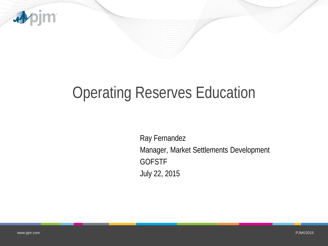

# Operating Reserves Education

Ray Fernandez Manager, Market Settlements Development **GOFSTF** July 22, 2015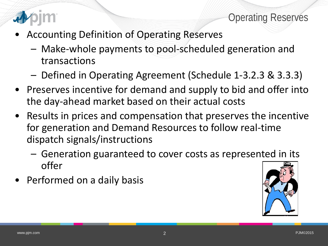



- Accounting Definition of Operating Reserves
	- Make-whole payments to pool-scheduled generation and transactions
	- Defined in Operating Agreement (Schedule 1-3.2.3 & 3.3.3)
- Preserves incentive for demand and supply to bid and offer into the day-ahead market based on their actual costs
- Results in prices and compensation that preserves the incentive for generation and Demand Resources to follow real-time dispatch signals/instructions
	- Generation guaranteed to cover costs as represented in its offer
- Performed on a daily basis

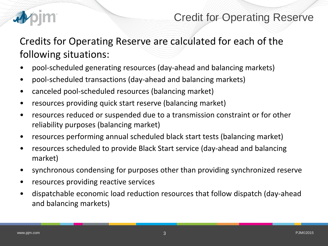

### Credit for Operating Reserve

Credits for Operating Reserve are calculated for each of the following situations:

- pool-scheduled generating resources (day-ahead and balancing markets)
- pool-scheduled transactions (day-ahead and balancing markets)
- canceled pool-scheduled resources (balancing market)
- resources providing quick start reserve (balancing market)
- resources reduced or suspended due to a transmission constraint or for other reliability purposes (balancing market)
- resources performing annual scheduled black start tests (balancing market)
- resources scheduled to provide Black Start service (day-ahead and balancing market)
- synchronous condensing for purposes other than providing synchronized reserve
- resources providing reactive services
- dispatchable economic load reduction resources that follow dispatch (day-ahead and balancing markets)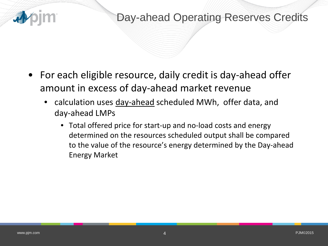

### Day-ahead Operating Reserves Credits

- For each eligible resource, daily credit is day-ahead offer amount in excess of day-ahead market revenue
	- calculation uses day-ahead scheduled MWh, offer data, and day-ahead LMPs
		- Total offered price for start-up and no-load costs and energy determined on the resources scheduled output shall be compared to the value of the resource's energy determined by the Day-ahead Energy Market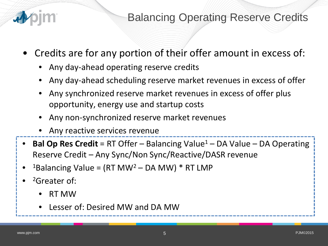

Balancing Operating Reserve Credits

- Credits are for any portion of their offer amount in excess of:
	- Any day-ahead operating reserve credits
	- Any day-ahead scheduling reserve market revenues in excess of offer
	- Any synchronized reserve market revenues in excess of offer plus opportunity, energy use and startup costs
	- Any non-synchronized reserve market revenues
	- Any reactive services revenue
- **Bal Op Res Credit** = RT Offer Balancing Value<sup>1</sup> DA Value DA Operating Reserve Credit – Any Sync/Non Sync/Reactive/DASR revenue
- <sup>1</sup>Balancing Value = (RT MW<sup>2</sup> DA MW) \* RT LMP
- <sup>2</sup>Greater of:
	- RT MW
	- Lesser of: Desired MW and DA MW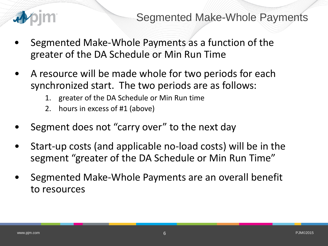

### Segmented Make-Whole Payments

- Segmented Make-Whole Payments as a function of the greater of the DA Schedule or Min Run Time
- A resource will be made whole for two periods for each synchronized start. The two periods are as follows:
	- 1. greater of the DA Schedule or Min Run time
	- 2. hours in excess of #1 (above)
- Segment does not "carry over" to the next day
- Start-up costs (and applicable no-load costs) will be in the segment "greater of the DA Schedule or Min Run Time"
- Segmented Make-Whole Payments are an overall benefit to resources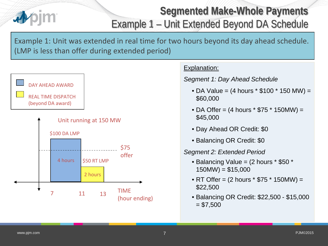

## **Segmented Make-Whole Payments** Example 1 – Unit Extended Beyond DA Schedule

Example 1: Unit was extended in real time for two hours beyond its day ahead schedule. (LMP is less than offer during extended period)



### Explanation:

*Segment 1: Day Ahead Schedule*

- DA Value =  $(4 \text{ hours} * $100 * 150 \text{ MW}) =$ \$60,000
- DA Offer =  $(4 \text{ hours} * $75 * 150 \text{MW}) =$ \$45,000
- Day Ahead OR Credit: \$0
- Balancing OR Credit: \$0

#### *Segment 2: Extended Period*

- Balancing Value = (2 hours \* \$50 \*  $150MW$ ) = \$15,000
- RT Offer = (2 hours \* \$75 \* 150MW) = \$22,500
- Balancing OR Credit: \$22,500 \$15,000  $= $7,500$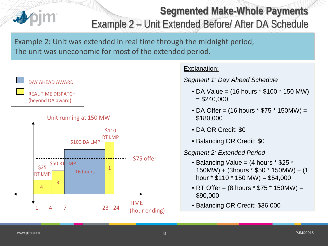# **Segmented Make-Whole Payments** Example 2 – Unit Extended Before/ After DA Schedule

Example 2: Unit was extended in real time through the midnight period, The unit was uneconomic for most of the extended period.







#### Explanation:

*Segment 1: Day Ahead Schedule*

- DA Value = (16 hours \* \$100 \* 150 MW)  $= $240,000$
- DA Offer =  $(16 \text{ hours} * $75 * 150 \text{MW}) =$ \$180,000
- DA OR Credit: \$0
- Balancing OR Credit: \$0

#### *Segment 2: Extended Period*

- Balancing Value = (4 hours \* \$25 \* 150MW) + (3hours \* \$50 \* 150MW) + (1 hour  $*$  \$110  $*$  150 MW) = \$54,000
- RT Offer = (8 hours \* \$75 \* 150MW) = \$90,000
- Balancing OR Credit: \$36,000